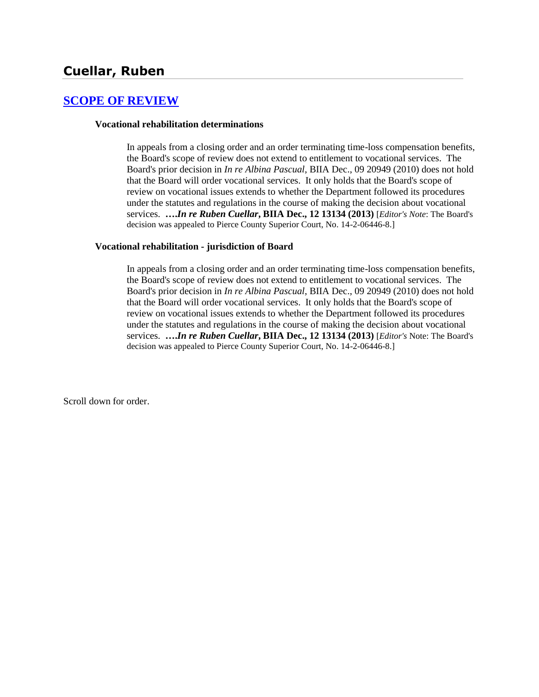### **[SCOPE OF REVIEW](http://www.biia.wa.gov/SDSubjectIndex.html#SCOPE_OF_REVIEW)**

#### **Vocational rehabilitation determinations**

In appeals from a closing order and an order terminating time-loss compensation benefits, the Board's scope of review does not extend to entitlement to vocational services. The Board's prior decision in *In re Albina Pascual*, BIIA Dec., 09 20949 (2010) does not hold that the Board will order vocational services. It only holds that the Board's scope of review on vocational issues extends to whether the Department followed its procedures under the statutes and regulations in the course of making the decision about vocational services. **….***In re Ruben Cuellar***, BIIA Dec., 12 13134 (2013)** [*Editor's Note*: The Board's decision was appealed to Pierce County Superior Court, No. 14-2-06446-8.]

#### **Vocational rehabilitation - jurisdiction of Board**

In appeals from a closing order and an order terminating time-loss compensation benefits, the Board's scope of review does not extend to entitlement to vocational services. The Board's prior decision in *In re Albina Pascual*, BIIA Dec., 09 20949 (2010) does not hold that the Board will order vocational services. It only holds that the Board's scope of review on vocational issues extends to whether the Department followed its procedures under the statutes and regulations in the course of making the decision about vocational services. **….***In re Ruben Cuellar***, BIIA Dec., 12 13134 (2013)** [*Editor's* Note: The Board's decision was appealed to Pierce County Superior Court, No. 14-2-06446-8.]

Scroll down for order.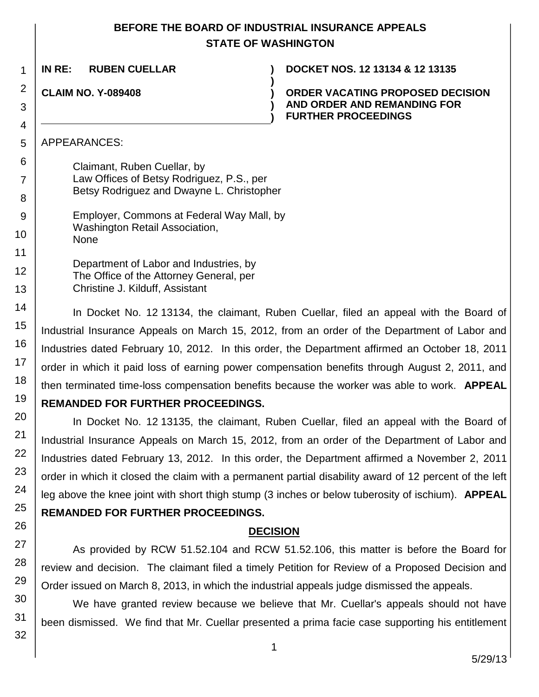### **BEFORE THE BOARD OF INDUSTRIAL INSURANCE APPEALS STATE OF WASHINGTON**

**)**

**) )**

**IN RE: RUBEN CUELLAR ) DOCKET NOS. 12 13134 & 12 13135**

**CLAIM NO. Y-089408 )**

1

2

3 4

5

6

7

8

9

10

11 12

13 14

15

16

17

18 19

20

21

22

23

24

25

26

27

28

29

30

31

32

**ORDER VACATING PROPOSED DECISION AND ORDER AND REMANDING FOR FURTHER PROCEEDINGS**

APPEARANCES:

Claimant, Ruben Cuellar, by Law Offices of Betsy Rodriguez, P.S., per Betsy Rodriguez and Dwayne L. Christopher

Employer, Commons at Federal Way Mall, by Washington Retail Association, None

Department of Labor and Industries, by The Office of the Attorney General, per Christine J. Kilduff, Assistant

In Docket No. 12 13134, the claimant, Ruben Cuellar, filed an appeal with the Board of Industrial Insurance Appeals on March 15, 2012, from an order of the Department of Labor and Industries dated February 10, 2012. In this order, the Department affirmed an October 18, 2011 order in which it paid loss of earning power compensation benefits through August 2, 2011, and then terminated time-loss compensation benefits because the worker was able to work. **APPEAL** 

# **REMANDED FOR FURTHER PROCEEDINGS.**

In Docket No. 12 13135, the claimant, Ruben Cuellar, filed an appeal with the Board of Industrial Insurance Appeals on March 15, 2012, from an order of the Department of Labor and Industries dated February 13, 2012. In this order, the Department affirmed a November 2, 2011 order in which it closed the claim with a permanent partial disability award of 12 percent of the left leg above the knee joint with short thigh stump (3 inches or below tuberosity of ischium). **APPEAL** 

# **REMANDED FOR FURTHER PROCEEDINGS.**

# **DECISION**

As provided by RCW 51.52.104 and RCW 51.52.106, this matter is before the Board for review and decision. The claimant filed a timely Petition for Review of a Proposed Decision and Order issued on March 8, 2013, in which the industrial appeals judge dismissed the appeals.

We have granted review because we believe that Mr. Cuellar's appeals should not have been dismissed. We find that Mr. Cuellar presented a prima facie case supporting his entitlement

1

5/29/13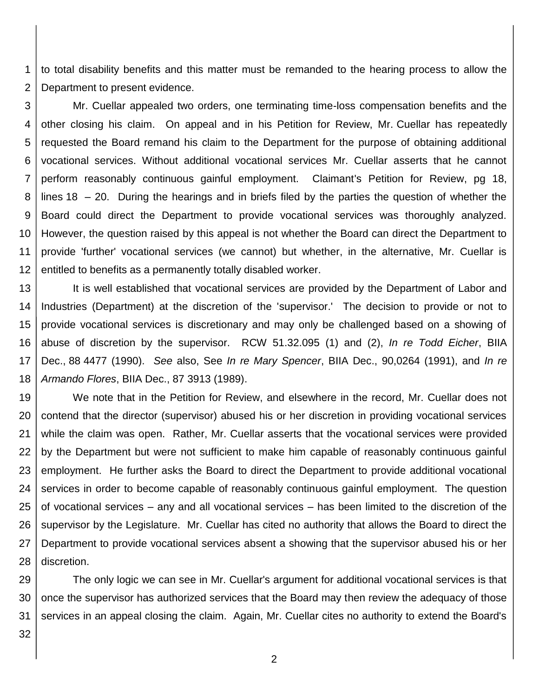1 2 to total disability benefits and this matter must be remanded to the hearing process to allow the Department to present evidence.

3 4 5 6 7 8 9 10 11 12 Mr. Cuellar appealed two orders, one terminating time-loss compensation benefits and the other closing his claim. On appeal and in his Petition for Review, Mr. Cuellar has repeatedly requested the Board remand his claim to the Department for the purpose of obtaining additional vocational services. Without additional vocational services Mr. Cuellar asserts that he cannot perform reasonably continuous gainful employment. Claimant's Petition for Review, pg 18, lines 18 – 20. During the hearings and in briefs filed by the parties the question of whether the Board could direct the Department to provide vocational services was thoroughly analyzed. However, the question raised by this appeal is not whether the Board can direct the Department to provide 'further' vocational services (we cannot) but whether, in the alternative, Mr. Cuellar is entitled to benefits as a permanently totally disabled worker.

13 14 15 16 17 18 It is well established that vocational services are provided by the Department of Labor and Industries (Department) at the discretion of the 'supervisor.' The decision to provide or not to provide vocational services is discretionary and may only be challenged based on a showing of abuse of discretion by the supervisor. RCW 51.32.095 (1) and (2), *In re Todd Eicher*, BIIA Dec., 88 4477 (1990). *See* also, See *In re Mary Spencer*, BIIA Dec., 90,0264 (1991), and *In re Armando Flores*, BIIA Dec., 87 3913 (1989).

19 20 21 22 23 24 25 26 27 28 We note that in the Petition for Review, and elsewhere in the record, Mr. Cuellar does not contend that the director (supervisor) abused his or her discretion in providing vocational services while the claim was open. Rather, Mr. Cuellar asserts that the vocational services were provided by the Department but were not sufficient to make him capable of reasonably continuous gainful employment. He further asks the Board to direct the Department to provide additional vocational services in order to become capable of reasonably continuous gainful employment. The question of vocational services – any and all vocational services – has been limited to the discretion of the supervisor by the Legislature. Mr. Cuellar has cited no authority that allows the Board to direct the Department to provide vocational services absent a showing that the supervisor abused his or her discretion.

29 30 31 The only logic we can see in Mr. Cuellar's argument for additional vocational services is that once the supervisor has authorized services that the Board may then review the adequacy of those services in an appeal closing the claim. Again, Mr. Cuellar cites no authority to extend the Board's

32

2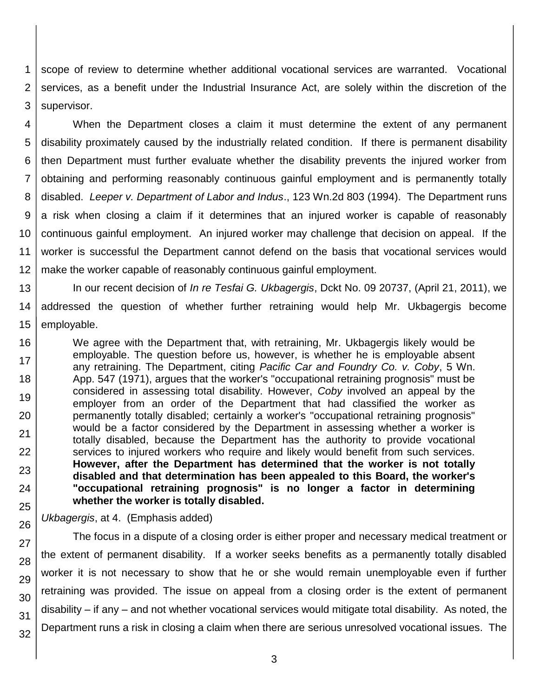1 2 3 scope of review to determine whether additional vocational services are warranted. Vocational services, as a benefit under the Industrial Insurance Act, are solely within the discretion of the supervisor.

4 5 6 7 8 9 10 11 12 When the Department closes a claim it must determine the extent of any permanent disability proximately caused by the industrially related condition. If there is permanent disability then Department must further evaluate whether the disability prevents the injured worker from obtaining and performing reasonably continuous gainful employment and is permanently totally disabled. *Leeper v. Department of Labor and Indus*., 123 Wn.2d 803 (1994). The Department runs a risk when closing a claim if it determines that an injured worker is capable of reasonably continuous gainful employment. An injured worker may challenge that decision on appeal. If the worker is successful the Department cannot defend on the basis that vocational services would make the worker capable of reasonably continuous gainful employment.

13 14 15 In our recent decision of *In re Tesfai G. Ukbagergis*, Dckt No. 09 20737, (April 21, 2011), we addressed the question of whether further retraining would help Mr. Ukbagergis become employable.

16 17 18 19 20 21 22 23 24 25 We agree with the Department that, with retraining, Mr. Ukbagergis likely would be employable. The question before us, however, is whether he is employable absent any retraining. The Department, citing *Pacific Car and Foundry Co. v. Coby*, 5 Wn. App. 547 (1971), argues that the worker's "occupational retraining prognosis" must be considered in assessing total disability. However, *Coby* involved an appeal by the employer from an order of the Department that had classified the worker as permanently totally disabled; certainly a worker's "occupational retraining prognosis" would be a factor considered by the Department in assessing whether a worker is totally disabled, because the Department has the authority to provide vocational services to injured workers who require and likely would benefit from such services. **However, after the Department has determined that the worker is not totally disabled and that determination has been appealed to this Board, the worker's "occupational retraining prognosis" is no longer a factor in determining whether the worker is totally disabled.**

*Ukbagergis*, at 4. (Emphasis added)

26

27

28

29 30

31

32

The focus in a dispute of a closing order is either proper and necessary medical treatment or the extent of permanent disability. If a worker seeks benefits as a permanently totally disabled worker it is not necessary to show that he or she would remain unemployable even if further retraining was provided. The issue on appeal from a closing order is the extent of permanent disability – if any – and not whether vocational services would mitigate total disability. As noted, the Department runs a risk in closing a claim when there are serious unresolved vocational issues. The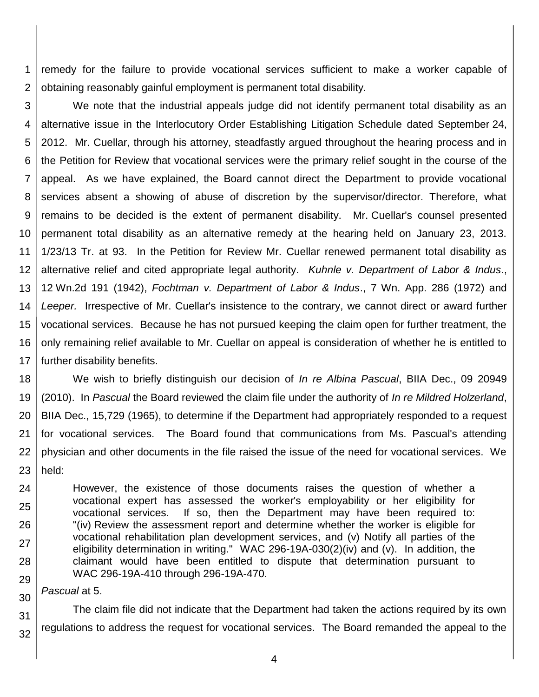1 2 remedy for the failure to provide vocational services sufficient to make a worker capable of obtaining reasonably gainful employment is permanent total disability.

3 4 5 6 7 8 9 10 11 12 13 14 15 16 17 We note that the industrial appeals judge did not identify permanent total disability as an alternative issue in the Interlocutory Order Establishing Litigation Schedule dated September 24, 2012. Mr. Cuellar, through his attorney, steadfastly argued throughout the hearing process and in the Petition for Review that vocational services were the primary relief sought in the course of the appeal. As we have explained, the Board cannot direct the Department to provide vocational services absent a showing of abuse of discretion by the supervisor/director. Therefore, what remains to be decided is the extent of permanent disability. Mr. Cuellar's counsel presented permanent total disability as an alternative remedy at the hearing held on January 23, 2013. 1/23/13 Tr. at 93. In the Petition for Review Mr. Cuellar renewed permanent total disability as alternative relief and cited appropriate legal authority. *Kuhnle v. Department of Labor & Indus*., 12 Wn.2d 191 (1942), *Fochtman v. Department of Labor & Indus*., 7 Wn. App. 286 (1972) and *Leeper.* Irrespective of Mr. Cuellar's insistence to the contrary, we cannot direct or award further vocational services. Because he has not pursued keeping the claim open for further treatment, the only remaining relief available to Mr. Cuellar on appeal is consideration of whether he is entitled to further disability benefits.

18 19 20 21 22 23 We wish to briefly distinguish our decision of *In re Albina Pascual*, BIIA Dec., 09 20949 (2010). In *Pascual* the Board reviewed the claim file under the authority of *In re Mildred Holzerland*, BIIA Dec., 15,729 (1965), to determine if the Department had appropriately responded to a request for vocational services. The Board found that communications from Ms. Pascual's attending physician and other documents in the file raised the issue of the need for vocational services. We held:

24 25 26 27 28 29 However, the existence of those documents raises the question of whether a vocational expert has assessed the worker's employability or her eligibility for vocational services. If so, then the Department may have been required to: "(iv) Review the assessment report and determine whether the worker is eligible for vocational rehabilitation plan development services, and (v) Notify all parties of the eligibility determination in writing." WAC 296-19A-030(2)(iv) and (v). In addition, the claimant would have been entitled to dispute that determination pursuant to WAC 296-19A-410 through 296-19A-470.

30 *Pascual* at 5.

31 32 The claim file did not indicate that the Department had taken the actions required by its own regulations to address the request for vocational services. The Board remanded the appeal to the

4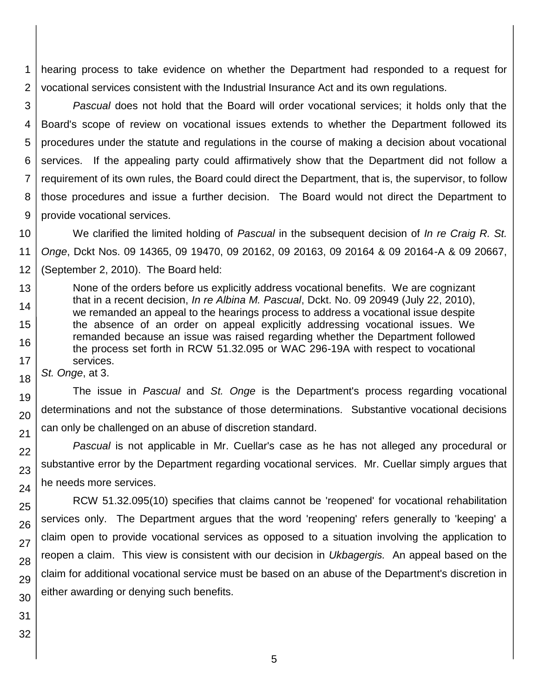1 2 hearing process to take evidence on whether the Department had responded to a request for vocational services consistent with the Industrial Insurance Act and its own regulations.

3 4 5 6 7 8 9 *Pascual* does not hold that the Board will order vocational services; it holds only that the Board's scope of review on vocational issues extends to whether the Department followed its procedures under the statute and regulations in the course of making a decision about vocational services. If the appealing party could affirmatively show that the Department did not follow a requirement of its own rules, the Board could direct the Department, that is, the supervisor, to follow those procedures and issue a further decision. The Board would not direct the Department to provide vocational services.

10 11 12 We clarified the limited holding of *Pascual* in the subsequent decision of *In re Craig R. St. Onge*, Dckt Nos. 09 14365, 09 19470, 09 20162, 09 20163, 09 20164 & 09 20164-A & 09 20667, (September 2, 2010). The Board held:

13 14 15 16 17 None of the orders before us explicitly address vocational benefits. We are cognizant that in a recent decision, *In re Albina M. Pascual*, Dckt. No. 09 20949 (July 22, 2010), we remanded an appeal to the hearings process to address a vocational issue despite the absence of an order on appeal explicitly addressing vocational issues. We remanded because an issue was raised regarding whether the Department followed the process set forth in RCW 51.32.095 or WAC 296-19A with respect to vocational services.

*St. Onge*, at 3.

18

19

20

21

22

23

24

25

26

27

28

29

The issue in *Pascual* and *St. Onge* is the Department's process regarding vocational determinations and not the substance of those determinations. Substantive vocational decisions can only be challenged on an abuse of discretion standard.

*Pascual* is not applicable in Mr. Cuellar's case as he has not alleged any procedural or substantive error by the Department regarding vocational services. Mr. Cuellar simply argues that he needs more services.

RCW 51.32.095(10) specifies that claims cannot be 'reopened' for vocational rehabilitation services only. The Department argues that the word 'reopening' refers generally to 'keeping' a claim open to provide vocational services as opposed to a situation involving the application to reopen a claim. This view is consistent with our decision in *Ukbagergis.* An appeal based on the claim for additional vocational service must be based on an abuse of the Department's discretion in either awarding or denying such benefits.

30 31 32